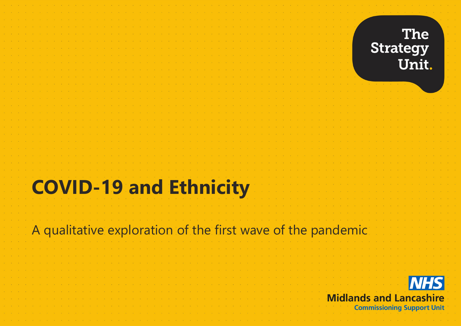

# **COVID-19 and Ethnicity**

#### A qualitative exploration of the first wave of the pandemic

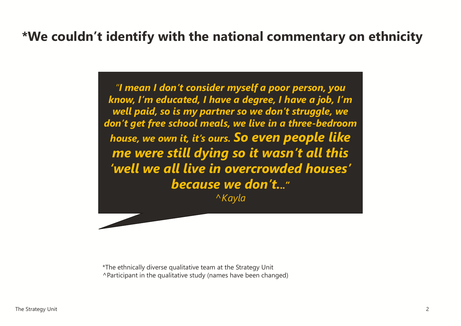#### **\*We couldn't identify with the national commentary on ethnicity**

*"I mean I don't consider myself a poor person, you know, I'm educated, I have a degree, I have a job, I'm well paid, so is my partner so we don't struggle, we don't get free school meals, we live in a three-bedroom house, we own it, it's ours. So even people like me were still dying so it wasn't all this 'well we all live in overcrowded houses' because we don't..." ^Kayla*

\*The ethnically diverse qualitative team at the Strategy Unit ^Participant in the qualitative study (names have been changed)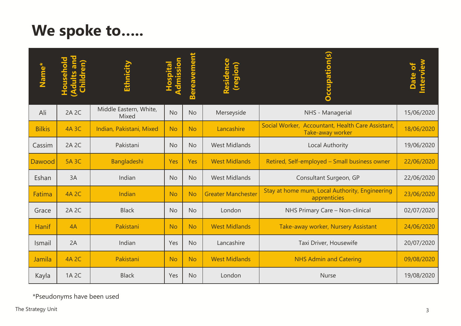# **We spoke to…..**

| Namo          | $\boldsymbol{\sigma}$ | Ethnicity                       | sion      | <b>Bereavement</b> | Residence<br>(region)     | <b>Occupation(s)</b>                                                  | Interview<br>Date of |
|---------------|-----------------------|---------------------------------|-----------|--------------------|---------------------------|-----------------------------------------------------------------------|----------------------|
| Ali           | 2A 2C                 | Middle Eastern, White,<br>Mixed | <b>No</b> | <b>No</b>          | Merseyside                | NHS - Managerial                                                      | 15/06/2020           |
| <b>Bilkis</b> | <b>4A 3C</b>          | Indian, Pakistani, Mixed        | <b>No</b> | <b>No</b>          | Lancashire                | Social Worker, Accountant, Health Care Assistant,<br>Take-away worker | 18/06/2020           |
| Cassim        | 2A 2C                 | Pakistani                       | <b>No</b> | <b>No</b>          | <b>West Midlands</b>      | Local Authority                                                       | 19/06/2020           |
| Dawood        | <b>5A 3C</b>          | Bangladeshi                     | Yes       | Yes                | <b>West Midlands</b>      | Retired, Self-employed - Small business owner                         | 22/06/2020           |
| Eshan         | 3A                    | Indian                          | <b>No</b> | <b>No</b>          | <b>West Midlands</b>      | Consultant Surgeon, GP                                                | 22/06/2020           |
| Fatima        | <b>4A 2C</b>          | Indian                          | <b>No</b> | <b>No</b>          | <b>Greater Manchester</b> | Stay at home mum, Local Authority, Engineering<br>apprenticies        | 23/06/2020           |
| Grace         | 2A 2C                 | <b>Black</b>                    | <b>No</b> | <b>No</b>          | London                    | NHS Primary Care - Non-clinical                                       | 02/07/2020           |
| Hanif         | 4A                    | Pakistani                       | <b>No</b> | <b>No</b>          | <b>West Midlands</b>      | Take-away worker, Nursery Assistant                                   | 24/06/2020           |
| Ismail        | 2A                    | Indian                          | Yes       | <b>No</b>          | Lancashire                | Taxi Driver, Housewife                                                | 20/07/2020           |
| Jamila        | <b>4A 2C</b>          | Pakistani                       | <b>No</b> | <b>No</b>          | <b>West Midlands</b>      | <b>NHS Admin and Catering</b>                                         | 09/08/2020           |
| Kayla         | 1A 2C                 | <b>Black</b>                    | Yes       | <b>No</b>          | London                    | <b>Nurse</b>                                                          | 19/08/2020           |

\*Pseudonyms have been used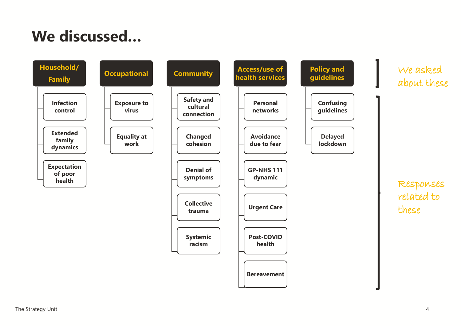# **We discussed…**

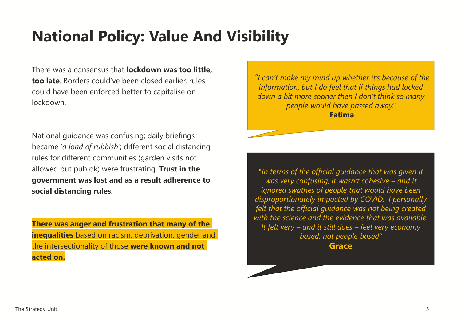## **National Policy: Value And Visibility**

There was a consensus that **lockdown was too little, too late**. Borders could've been closed earlier, rules could have been enforced better to capitalise on lockdown.

National guidance was confusing; daily briefings became '*a load of rubbish*'; different social distancing rules for different communities (garden visits not allowed but pub ok) were frustrating. **Trust in the government was lost and as a result adherence to social distancing rules**.

**There was anger and frustration that many of the inequalities** based on racism, deprivation, gender and the intersectionality of those **were known and not acted on.**

*"I can't make my mind up whether it's because of the information, but I do feel that if things had locked down a bit more sooner then I don't think so many people would have passed away."* **Fatima**

"*In terms of the official guidance that was given it was very confusing, it wasn't cohesive – and it ignored swathes of people that would have been disproportionately impacted by COVID. I personally felt that the official guidance was not being created with the science and the evidence that was available. It felt very – and it still does – feel very economy based, not people based"* **Grace**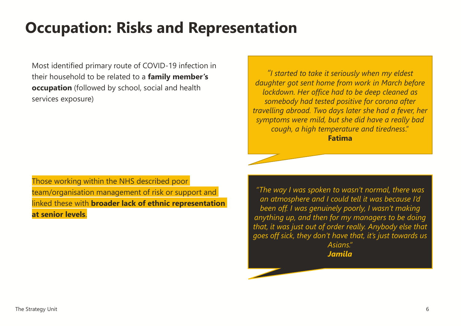### **Occupation: Risks and Representation**

Most identified primary route of COVID-19 infection in their household to be related to a **family member's occupation** (followed by school, social and health services exposure)

Those working within the NHS described poor team/organisation management of risk or support and linked these with **broader lack of ethnic representation at senior levels**.

*"I started to take it seriously when my eldest daughter got sent home from work in March before lockdown. Her office had to be deep cleaned as somebody had tested positive for corona after travelling abroad. Two days later she had a fever, her symptoms were mild, but she did have a really bad cough, a high temperature and tiredness*." **Fatima**

*"The way I was spoken to wasn't normal, there was an atmosphere and I could tell it was because I'd been off. I was genuinely poorly, I wasn't making anything up, and then for my managers to be doing that, it was just out of order really. Anybody else that goes off sick, they don't have that, it's just towards us Asians." Jamila*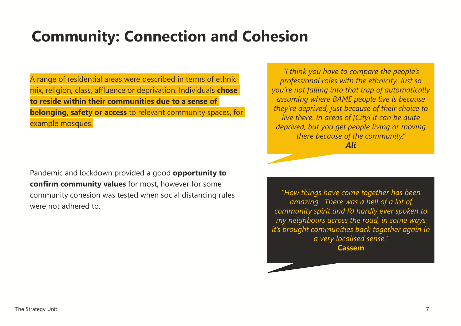## **Community: Connection and Cohesion**

A range of residential areas were described in terms of ethnic mix, religion, class, affluence or deprivation. Individuals **chose to reside within their communities due to a sense of belonging, safety or access** to relevant community spaces, for example mosques.

Pandemic and lockdown provided a good **opportunity to confirm community values** for most, however for some community cohesion was tested when social distancing rules were not adhered to.

*"I think you have to compare the people's professional roles with the ethnicity. Just so you're not falling into that trap of automatically assuming where BAME people live is because they're deprived, just because of their choice to live there. In areas of [City] it can be quite deprived, but you get people living or moving there because of the community." Ali*

*"How things have come together has been amazing. There was a hell of a lot of community spirit and I'd hardly ever spoken to my neighbours across the road, in some ways it's brought communities back together again in a very localised sense*." **Cassem**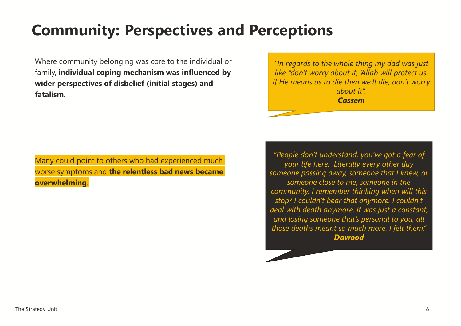## **Community: Perspectives and Perceptions**

Where community belonging was core to the individual or family, **individual coping mechanism was influenced by wider perspectives of disbelief (initial stages) and fatalism**.

*"In regards to the whole thing my dad was just like "don't worry about it, 'Allah will protect us. If He means us to die then we'll die, don't worry about it". Cassem*

Many could point to others who had experienced much worse symptoms and **the relentless bad news became overwhelming**.

*"People don't understand, you've got a fear of your life here. Literally every other day someone passing away, someone that I knew, or someone close to me, someone in the community. I remember thinking when will this stop? I couldn't bear that anymore. I couldn't deal with death anymore. It was just a constant, and losing someone that's personal to you, all those deaths meant so much more. I felt them." Dawood*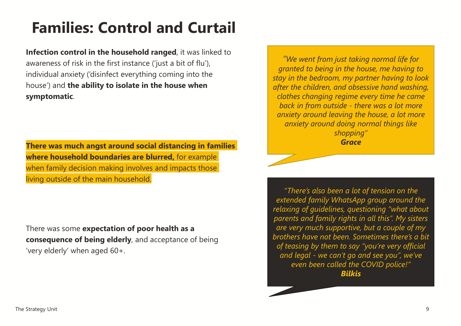# **Families: Control and Curtail**

**Infection control in the household ranged**, it was linked to awareness of risk in the first instance ('just a bit of flu'), individual anxiety ('disinfect everything coming into the house') and **the ability to isolate in the house when symptomatic**.

**There was much angst around social distancing in families where household boundaries are blurred,** for example when family decision making involves and impacts those living outside of the main household.

There was some **expectation of poor health as a consequence of being elderly**, and acceptance of being 'very elderly' when aged 60+.

*"We went from just taking normal life for granted to being in the house, me having to stay in the bedroom, my partner having to look after the children, and obsessive hand washing, clothes changing regime every time he came back in from outside - there was a lot more anxiety around leaving the house, a lot more anxiety around doing normal things like shopping" Grace*

*"There's also been a lot of tension on the extended family WhatsApp group around the relaxing of guidelines, questioning "what about parents and family rights in all this". My sisters are very much supportive, but a couple of my brothers have not been. Sometimes there's a bit of teasing by them to say "you're very official and legal - we can't go and see you", we've even been called the COVID police!" Bilkis*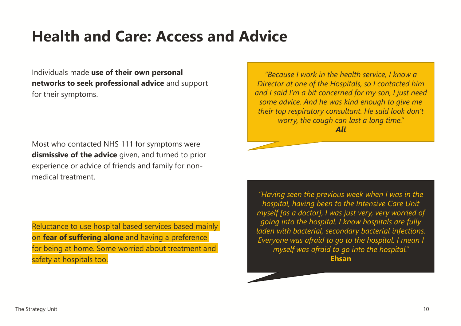#### **Health and Care: Access and Advice**

Individuals made **use of their own personal networks to seek professional advice** and support for their symptoms.

Most who contacted NHS 111 for symptoms were **dismissive of the advice** given, and turned to prior experience or advice of friends and family for nonmedical treatment.

Reluctance to use hospital based services based mainly on **fear of suffering alone** and having a preference for being at home. Some worried about treatment and safety at hospitals too.

*"Because I work in the health service, I know a Director at one of the Hospitals, so I contacted him and I said I'm a bit concerned for my son, I just need some advice. And he was kind enough to give me their top respiratory consultant. He said look don't worry, the cough can last a long time." Ali*

*"Having seen the previous week when I was in the hospital, having been to the Intensive Care Unit myself [as a doctor], I was just very, very worried of going into the hospital. I know hospitals are fully laden with bacterial, secondary bacterial infections. Everyone was afraid to go to the hospital. I mean I myself was afraid to go into the hospital."*  **Ehsan**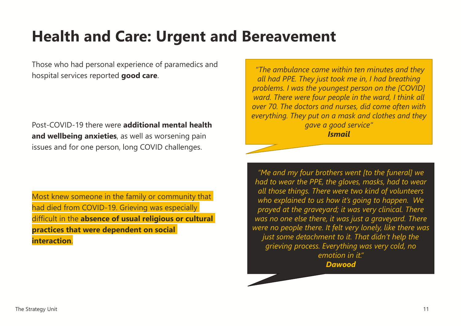#### **Health and Care: Urgent and Bereavement**

Those who had personal experience of paramedics and hospital services reported **good care**.

Post-COVID-19 there were **additional mental health and wellbeing anxieties**, as well as worsening pain issues and for one person, long COVID challenges.

Most knew someone in the family or community that had died from COVID-19. Grieving was especially difficult in the **absence of usual religious or cultural practices that were dependent on social interaction**.

*"The ambulance came within ten minutes and they all had PPE. They just took me in, I had breathing problems. I was the youngest person on the [COVID] ward. There were four people in the ward, I think all over 70. The doctors and nurses, did come often with everything. They put on a mask and clothes and they gave a good service" Ismail*

*"Me and my four brothers went [to the funeral] we had to wear the PPE, the gloves, masks, had to wear all those things. There were two kind of volunteers who explained to us how it's going to happen. We prayed at the graveyard; it was very clinical. There was no one else there, it was just a graveyard. There were no people there. It felt very lonely, like there was just some detachment to it. That didn't help the grieving process. Everything was very cold, no emotion in it."* 

*Dawood*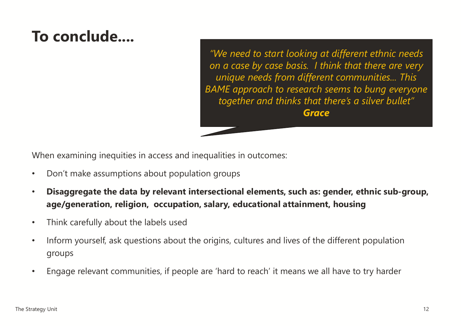## **To conclude....**

*"We need to start looking at different ethnic needs on a case by case basis. I think that there are very unique needs from different communities... This BAME approach to research seems to bung everyone together and thinks that there's a silver bullet" Grace*

When examining inequities in access and inequalities in outcomes:

- Don't make assumptions about population groups
- **Disaggregate the data by relevant intersectional elements, such as: gender, ethnic sub-group, age/generation, religion, occupation, salary, educational attainment, housing**
- Think carefully about the labels used
- Inform yourself, ask questions about the origins, cultures and lives of the different population groups
- Engage relevant communities, if people are 'hard to reach' it means we all have to try harder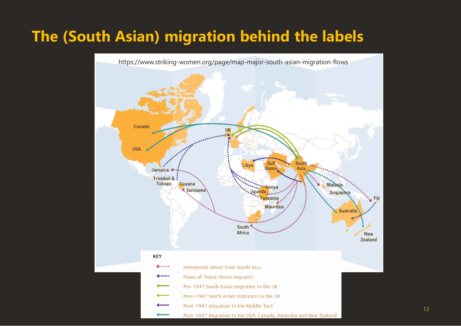#### **The (South Asian) migration behind the labels**